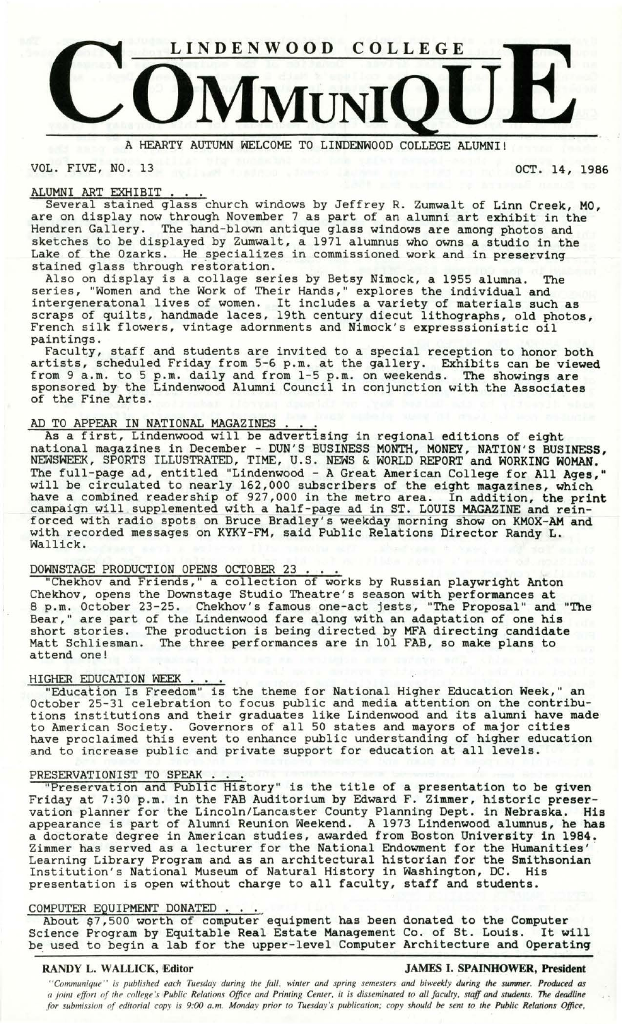

A HEARTY AUTUMN WELCOME TO LINDENWOOD COLLEGE **ALUMNI!** 

VOL. FIVE, NO. 13 OCT. 14, 1986

## ALUMNI ART EXHIBIT

Several stained glass church windows by Jeffrey R. Zumwalt of Linn Creek, MO, are on display now through November 7 as part of an alumni art exhibit in the Hendren Gallery. The hand-blown antique glass windows are among photos and sketches to be displayed by Zumwalt, a 1971 alumnus who owns a studio in the Lake of the Ozarks. He specializes in commissioned work and in preserving stained glass through restoration.<br>Also on display is a collage series by Betsy Nimock, a 1955 alumna. The

series, "Women and the Work of Their Hands," explores the individual and intergeneratonal lives of women. It includes a variety of materials such as scraps of quilts, handmade laces, 19th century diecut lithographs, old photos, French silk flowers, vintage adornments and Nimock's expresssionistic oil paintings.

Faculty, staff and students are invited to a special reception to honor both artists, scheduled Friday from 5-6 p.m. at the gallery. Exhibits can be **viewed**  from 9 a.m. to 5 p.m. daily and from 1-5 p.m. on weekends. The showings are sponsored by the Lindenwood Alumni Council in conjunction with the Associates of the Fine Arts.

AD TO APPEAR IN NATIONAL MAGAZINES As a first, Lindenwood will be advertising in regional editions of eight national magazines in December - DUN'S BUSINESS MONTH, MONEY, NATION'S BUSINESS, NEWSWEEK, SPORTS ILLUSTRATED, TIME, U.S. NEWS & WORLD REPORT and WORKING WOMAN. The full-page ad, entitled "Lindenwood - A Great American College for All Ages," will be circulated to nearly 162,000 subscribers of the eight magazines, which have a combined readership of 927,000 in the metro area. In addition, the print campaign will supplemented with a half-page ad in ST. LOUIS MAGAZINE and reinforced with radio spots on Bruce Bradley's weekday morning show on KMOX-AM and with recorded messages on KYKY-FM, said Public Relations Director Randy L. Wallick.

DOWNSTAGE PRODUCTION OPENS OCTOBER 23 . . .<br>"Chekhov and Friends," a collection of works by Russian playwright Anton Chekhov, opens the Downstage Studio Theatre's season with performances at 8 p.m. October 23-25. Chekhov's famous one-act jests, "The Proposal" and "The Bear," are part of the Lindenwood fare along with an adaptation of one his short stories. The production is being directed by MFA directing candidate Matt Schliesman. The three performances are in 101 FAB, so make plans to attend one!

### HIGHER EDUCATION WEEK

"Education Is Freedom" is the theme for National Higher Education Week," an October 25-31 celebration to focus public and media attention on the contributions institutions and their graduates like Lindenwood and its alumni have made to American Society. Governors of all 50 states and mayors of major cities have proclaimed this event to enhance public understanding of higher education and to increase public and private support for education at all levels.

PRESERVATIONIST TO SPEAK. 11 Preservation and Public History 11 is the title of a presentation to be given Friday at 7:30 p.m. in the FAB Auditorium by Edward F. Zimmer, historic preservation planner for the Lincoln/Lancaster County Planning Dept. in Nebraska. His appearance is part of Alumni Reunion Weekend. A 1973 Lindenwood alumnus, he has a doctorate degree in American studies, awarded from Boston University in 1984.<br>Zimmer has served as a lecturer for the National Endowment for the Humanities' Zimmer has served as a lecturer for the National Endowment for the Humanities' · Learning Library Program and as an architectural historian for the Smithsonian Institution's National Museum of Natural History in Washington, DC. His presentation is open without charge to all faculty, staff and students.

presentation is open without charge to all faculty, staff and students.<br>COMPUTER EQUIPMENT DONATED . . .<br>About \$7,500 worth of computer equipment has been donated to the Computer Science Program by Equitable Real Estate Management Co. of St. Louis. It will be used to begin a lab for the upper-level Computer Architecture and Operating

### **RANDY L. WALLICK, Editor JAMES** I. **SPAINHOWER, President**

*''Communique'' is published each Tuesday during the fall, winter and spring semesters and biweekly during the summer. Produced as a joint effort of the college's Public Relations Office and Printing Center, it is disseminated to all faculty, staff and students. The deadline for submission of editorial copy is 9:00 a. m. Monday prior to Tuesday's publication; copy should be sent to the Public Relations Office,*